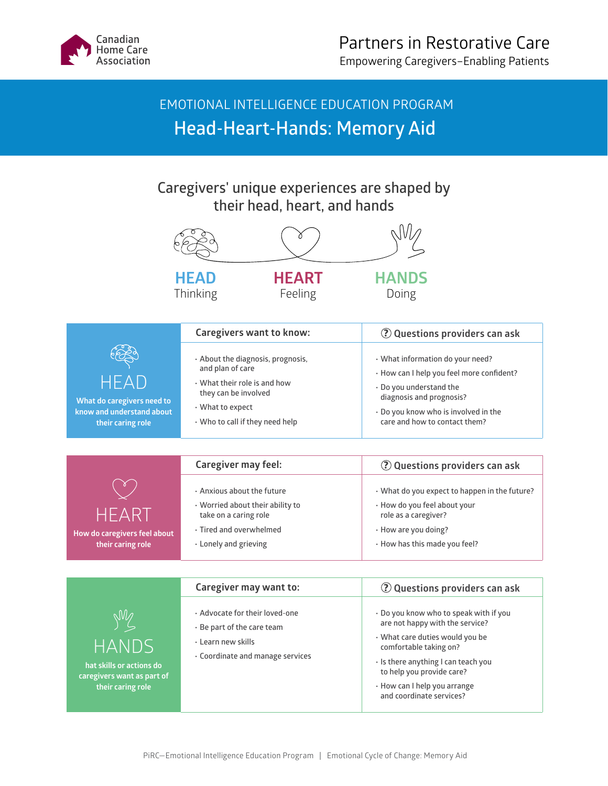

 EMOTIONAL INTELLIGENCE EDUCATION PROGRAM **Head-Heart-Hands: Memory Aid** 

**Caregivers' unique experiences are shaped by their head, heart, and hands**



|                                                                                                                         | $\epsilon$ arekiren indigirean eta                                                                                     | <u>y Questions providers can ask</u>                                                                                                                                                                                                                                   |
|-------------------------------------------------------------------------------------------------------------------------|------------------------------------------------------------------------------------------------------------------------|------------------------------------------------------------------------------------------------------------------------------------------------------------------------------------------------------------------------------------------------------------------------|
| $\mathbb{M}\mathbb{Z}$<br><b>HANDS</b> '<br>hat skills or actions do<br>caregivers want as part of<br>their caring role | . Advocate for their loved-one<br>. Be part of the care team<br>· Learn new skills<br>. Coordinate and manage services | . Do you know who to speak with if you<br>are not happy with the service?<br>· What care duties would you be<br>comfortable taking on?<br>⋅ Is there anything I can teach you<br>to help you provide care?<br>• How can I help you arrange<br>and coordinate services? |
|                                                                                                                         |                                                                                                                        |                                                                                                                                                                                                                                                                        |